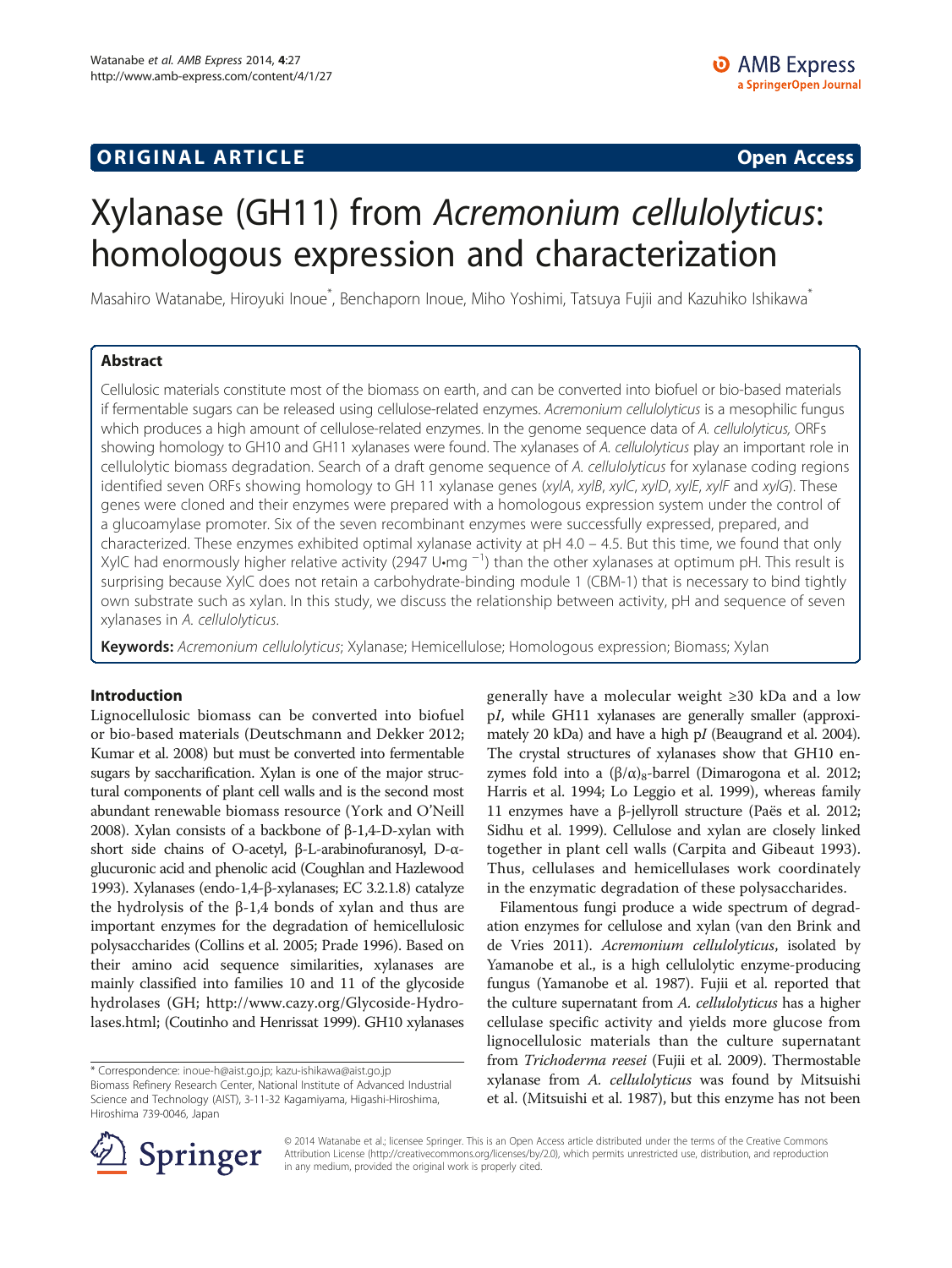# **ORIGINAL ARTICLE CONSUMING A LIGACION CONSUMING A LIGACION CONSUMING A LIGACION**

# Xylanase (GH11) from Acremonium cellulolyticus: homologous expression and characterization

Masahiro Watanabe, Hiroyuki Inoue<sup>\*</sup>, Benchaporn Inoue, Miho Yoshimi, Tatsuya Fujii and Kazuhiko Ishikawa<sup>\*</sup>

# Abstract

Cellulosic materials constitute most of the biomass on earth, and can be converted into biofuel or bio-based materials if fermentable sugars can be released using cellulose-related enzymes. Acremonium cellulolyticus is a mesophilic fungus which produces a high amount of cellulose-related enzymes. In the genome sequence data of A. cellulolyticus, ORFs showing homology to GH10 and GH11 xylanases were found. The xylanases of A. cellulolyticus play an important role in cellulolytic biomass degradation. Search of a draft genome sequence of A. cellulolyticus for xylanase coding regions identified seven ORFs showing homology to GH 11 xylanase genes (xylA, xylB, xylC, xylD, xylE, xylF and xylG). These genes were cloned and their enzymes were prepared with a homologous expression system under the control of a glucoamylase promoter. Six of the seven recombinant enzymes were successfully expressed, prepared, and characterized. These enzymes exhibited optimal xylanase activity at pH 4.0 – 4.5. But this time, we found that only XylC had enormously higher relative activity (2947 U•mg <sup>-1</sup>) than the other xylanases at optimum pH. This result is surprising because XylC does not retain a carbohydrate-binding module 1 (CBM-1) that is necessary to bind tightly own substrate such as xylan. In this study, we discuss the relationship between activity, pH and sequence of seven xylanases in A. cellulolyticus.

Keywords: Acremonium cellulolyticus; Xylanase; Hemicellulose; Homologous expression; Biomass; Xylan

#### Introduction

Lignocellulosic biomass can be converted into biofuel or bio-based materials (Deutschmann and Dekker [2012](#page-7-0); Kumar et al. [2008](#page-7-0)) but must be converted into fermentable sugars by saccharification. Xylan is one of the major structural components of plant cell walls and is the second most abundant renewable biomass resource (York and O'Neill [2008\)](#page-7-0). Xylan consists of a backbone of β-1,4-D-xylan with short side chains of O-acetyl, β-L-arabinofuranosyl, D-αglucuronic acid and phenolic acid (Coughlan and Hazlewood [1993\)](#page-7-0). Xylanases (endo-1,4-β-xylanases; EC 3.2.1.8) catalyze the hydrolysis of the  $β-1,4$  bonds of xylan and thus are important enzymes for the degradation of hemicellulosic polysaccharides (Collins et al. [2005](#page-7-0); Prade [1996](#page-7-0)). Based on their amino acid sequence similarities, xylanases are mainly classified into families 10 and 11 of the glycoside hydrolases (GH; [http://www.cazy.org/Glycoside-Hydro](http://www.cazy.org/Glycoside-Hydrolases.html)[lases.html;](http://www.cazy.org/Glycoside-Hydrolases.html) (Coutinho and Henrissat [1999](#page-7-0)). GH10 xylanases

generally have a molecular weight ≥30 kDa and a low pI, while GH11 xylanases are generally smaller (approximately 20 kDa) and have a high pI (Beaugrand et al. [2004](#page-7-0)). The crystal structures of xylanases show that GH10 enzymes fold into a  $(\beta/\alpha)_8$ -barrel (Dimarogona et al. [2012](#page-7-0); Harris et al. [1994](#page-7-0); Lo Leggio et al. [1999](#page-7-0)), whereas family 11 enzymes have a β-jellyroll structure (Paës et al. [2012](#page-7-0); Sidhu et al. [1999\)](#page-7-0). Cellulose and xylan are closely linked together in plant cell walls (Carpita and Gibeaut [1993](#page-7-0)). Thus, cellulases and hemicellulases work coordinately in the enzymatic degradation of these polysaccharides.

Filamentous fungi produce a wide spectrum of degradation enzymes for cellulose and xylan (van den Brink and de Vries [2011](#page-7-0)). Acremonium cellulolyticus, isolated by Yamanobe et al., is a high cellulolytic enzyme-producing fungus (Yamanobe et al. [1987\)](#page-7-0). Fujii et al. reported that the culture supernatant from A. cellulolyticus has a higher cellulase specific activity and yields more glucose from lignocellulosic materials than the culture supernatant from Trichoderma reesei (Fujii et al. [2009](#page-7-0)). Thermostable xylanase from A. cellulolyticus was found by Mitsuishi et al. (Mitsuishi et al. [1987\)](#page-7-0), but this enzyme has not been



© 2014 Watanabe et al.; licensee Springer. This is an Open Access article distributed under the terms of the Creative Commons Attribution License [\(http://creativecommons.org/licenses/by/2.0\)](http://creativecommons.org/licenses/by/2.0), which permits unrestricted use, distribution, and reproduction in any medium, provided the original work is properly cited.

<sup>\*</sup> Correspondence: [inoue-h@aist.go.jp](mailto:inoue-h@aist.go.jp); [kazu-ishikawa@aist.go.jp](mailto:kazu-ishikawa@aist.go.jp) Biomass Refinery Research Center, National Institute of Advanced Industrial Science and Technology (AIST), 3-11-32 Kagamiyama, Higashi-Hiroshima, Hiroshima 739-0046, Japan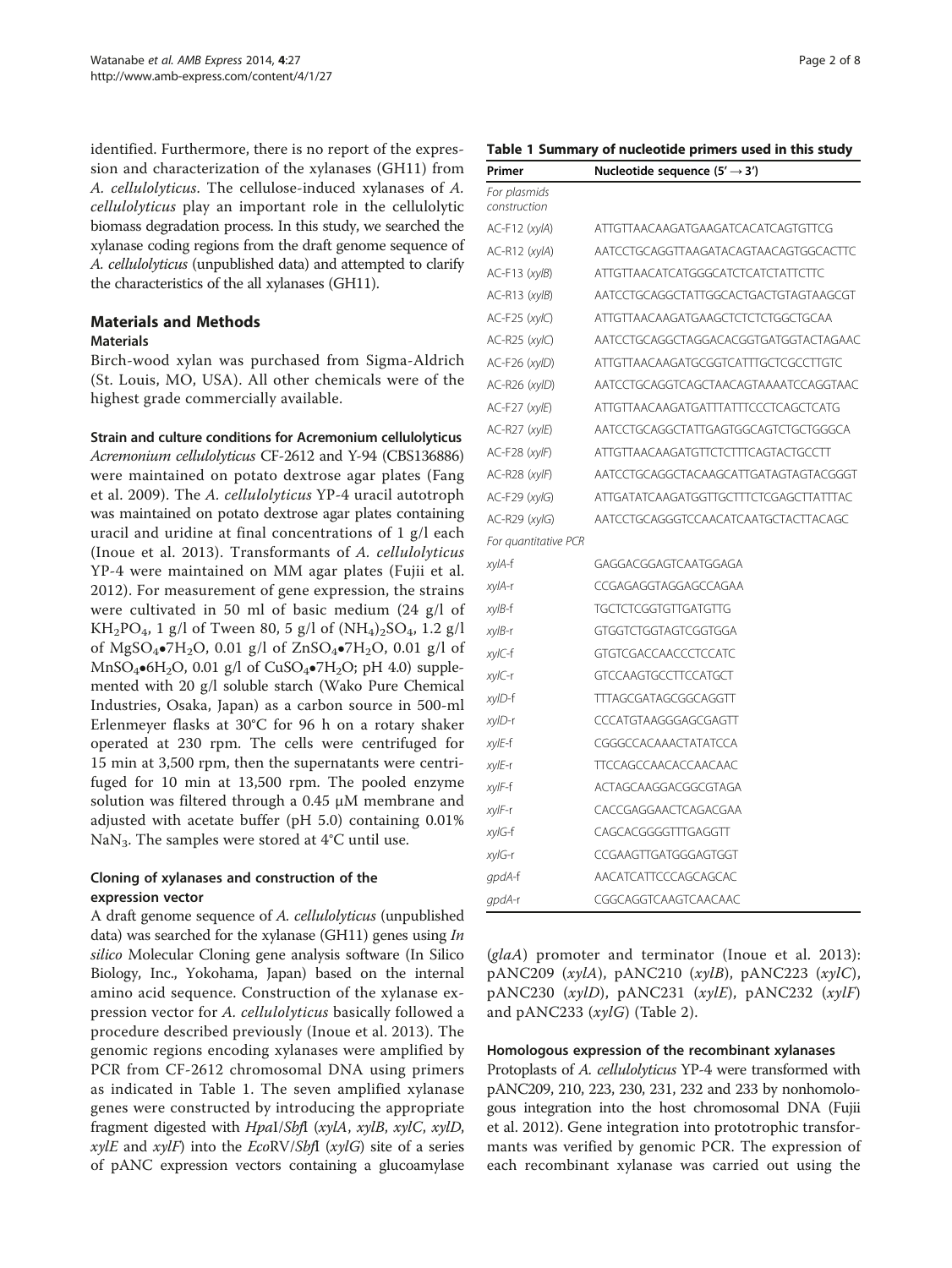<span id="page-1-0"></span>identified. Furthermore, there is no report of the expression and characterization of the xylanases (GH11) from A. cellulolyticus. The cellulose-induced xylanases of A. cellulolyticus play an important role in the cellulolytic biomass degradation process. In this study, we searched the xylanase coding regions from the draft genome sequence of A. cellulolyticus (unpublished data) and attempted to clarify the characteristics of the all xylanases (GH11).

## Materials and Methods

#### **Materials**

Birch-wood xylan was purchased from Sigma-Aldrich (St. Louis, MO, USA). All other chemicals were of the highest grade commercially available.

#### Strain and culture conditions for Acremonium cellulolyticus

Acremonium cellulolyticus CF-2612 and Y-94 (CBS136886) were maintained on potato dextrose agar plates (Fang et al. [2009](#page-7-0)). The A. cellulolyticus YP-4 uracil autotroph was maintained on potato dextrose agar plates containing uracil and uridine at final concentrations of 1 g/l each (Inoue et al. [2013](#page-7-0)). Transformants of A. cellulolyticus YP-4 were maintained on MM agar plates (Fujii et al. [2012](#page-7-0)). For measurement of gene expression, the strains were cultivated in 50 ml of basic medium (24 g/l of KH<sub>2</sub>PO<sub>4</sub>, 1 g/l of Tween 80, 5 g/l of  $(NH_4)_2SO_4$ , 1.2 g/l of MgSO<sub>4</sub>•7H<sub>2</sub>O, 0.01 g/l of ZnSO<sub>4</sub>•7H<sub>2</sub>O, 0.01 g/l of  $MnSO_4\bullet 6H_2O$ , 0.01 g/l of CuSO<sub>4</sub> $\bullet$ 7H<sub>2</sub>O; pH 4.0) supplemented with 20 g/l soluble starch (Wako Pure Chemical Industries, Osaka, Japan) as a carbon source in 500-ml Erlenmeyer flasks at 30°C for 96 h on a rotary shaker operated at 230 rpm. The cells were centrifuged for 15 min at 3,500 rpm, then the supernatants were centrifuged for 10 min at 13,500 rpm. The pooled enzyme solution was filtered through a 0.45 μM membrane and adjusted with acetate buffer (pH 5.0) containing 0.01% NaN<sub>3</sub>. The samples were stored at  $4^{\circ}$ C until use.

## Cloning of xylanases and construction of the expression vector

A draft genome sequence of A. cellulolyticus (unpublished data) was searched for the xylanase (GH11) genes using In silico Molecular Cloning gene analysis software (In Silico Biology, Inc., Yokohama, Japan) based on the internal amino acid sequence. Construction of the xylanase expression vector for A. cellulolyticus basically followed a procedure described previously (Inoue et al. [2013\)](#page-7-0). The genomic regions encoding xylanases were amplified by PCR from CF-2612 chromosomal DNA using primers as indicated in Table 1. The seven amplified xylanase genes were constructed by introducing the appropriate fragment digested with HpaI/SbfI (xylA, xylB, xylC, xylD, *xylE* and *xylF*) into the *EcoRV/SbfI* (*xylG*) site of a series of pANC expression vectors containing a glucoamylase

# Table 1 Summary of nucleotide primers used in this study

| Primer                       | Nucleotide sequence $(5' \rightarrow 3')$ |
|------------------------------|-------------------------------------------|
| For plasmids<br>construction |                                           |
| $AC-F12$ ( $xyIA$ )          | ATTGTTAACAAGATGAAGATCACATCAGTGTTCG        |
| $AC-R12$ ( $xyIA$ )          | AATCCTGCAGGTTAAGATACAGTAACAGTGGCACTTC     |
| AC-F13 (xylB)                | <b>ATTGTTAACATCATGGGCATCTCATCTATTCTTC</b> |
| $AC-R13$ ( $xyIB$ )          | AATCCTGCAGGCTATTGGCACTGACTGTAGTAAGCGT     |
| $AC-F25$ (xylC)              | ATTGTTAACAAGATGAAGCTCTCTCTGGCTGCAA        |
| AC-R25 (xylC)                | AATCCTGCAGGCTAGGACACGGTGATGGTACTAGAAC     |
| AC-F26 (xylD)                | ATTGTTAACAAGATGCGGTCATTTGCTCGCCTTGTC      |
| AC-R26 (xylD)                | AATCCTGCAGGTCAGCTAACAGTAAAATCCAGGTAAC     |
| AC-F27 (xylE)                | ATTGTTAACAAGATGATTTATTTCCCTCAGCTCATG      |
| AC-R27 (xylE)                | AATCCTGCAGGCTATTGAGTGGCAGTCTGCTGGGCA      |
| $AC-F28$ (xylF)              | ATTGTTAACAAGATGTTCTCTTTCAGTACTGCCTT       |
| AC-R28 (xylF)                | AATCCTGCAGGCTACAAGCATTGATAGTAGTACGGGT     |
| $AC-F29$ (xylG)              | ATTGATATCAAGATGGTTGCTTTCTCGAGCTTATTTAC    |
| $AC-R29$ ( <i>xylG</i> )     | AATCCTGCAGGGTCCAACATCAATGCTACTTACAGC      |
| For quantitative PCR         |                                           |
| xylA-f                       | GAGGACGGAGTCAATGGAGA                      |
| xylA-r                       | CCGAGAGGTAGGAGCCAGAA                      |
| xylB-f                       | TGCTCTCGGTGTTGATGTTG                      |
| $xy/B-r$                     | GTGGTCTGGTAGTCGGTGGA                      |
| xylC-f                       | GTGTCGACCAACCCTCCATC                      |
| xylC-r                       | <b>GTCCAAGTGCCTTCCATGCT</b>               |
| xylD-f                       | TTTAGCGATAGCGGCAGGTT                      |
| xylD-r                       | CCCATGTAAGGGAGCGAGTT                      |
| xylE-f                       | CGGGCCACAAACTATATCCA                      |
| xylE-r                       | <b>TTCCAGCCAACACCAACAAC</b>               |
| xylF-f                       | ACTAGCAAGGACGGCGTAGA                      |
| xylF-r                       | CACCGAGGAACTCAGACGAA                      |
| xylG-f                       | CAGCACGGGGTTTGAGGTT                       |
| xylG-r                       | CCGAAGTTGATGGGAGTGGT                      |
| gpdA-f                       | AACATCATTCCCAGCAGCAC                      |
| gpdA-r                       | CGGCAGGTCAAGTCAACAAC                      |

(glaA) promoter and terminator (Inoue et al. [2013](#page-7-0)): pANC209  $(xylA)$ , pANC210  $(xylB)$ , pANC223  $(xylC)$ , pANC230  $(xylD)$ , pANC231  $(xylE)$ , pANC232  $(xylF)$ and  $pANC233$  ( $xylG$ ) (Table [2](#page-2-0)).

#### Homologous expression of the recombinant xylanases

Protoplasts of A. cellulolyticus YP-4 were transformed with pANC209, 210, 223, 230, 231, 232 and 233 by nonhomologous integration into the host chromosomal DNA (Fujii et al. [2012](#page-7-0)). Gene integration into prototrophic transformants was verified by genomic PCR. The expression of each recombinant xylanase was carried out using the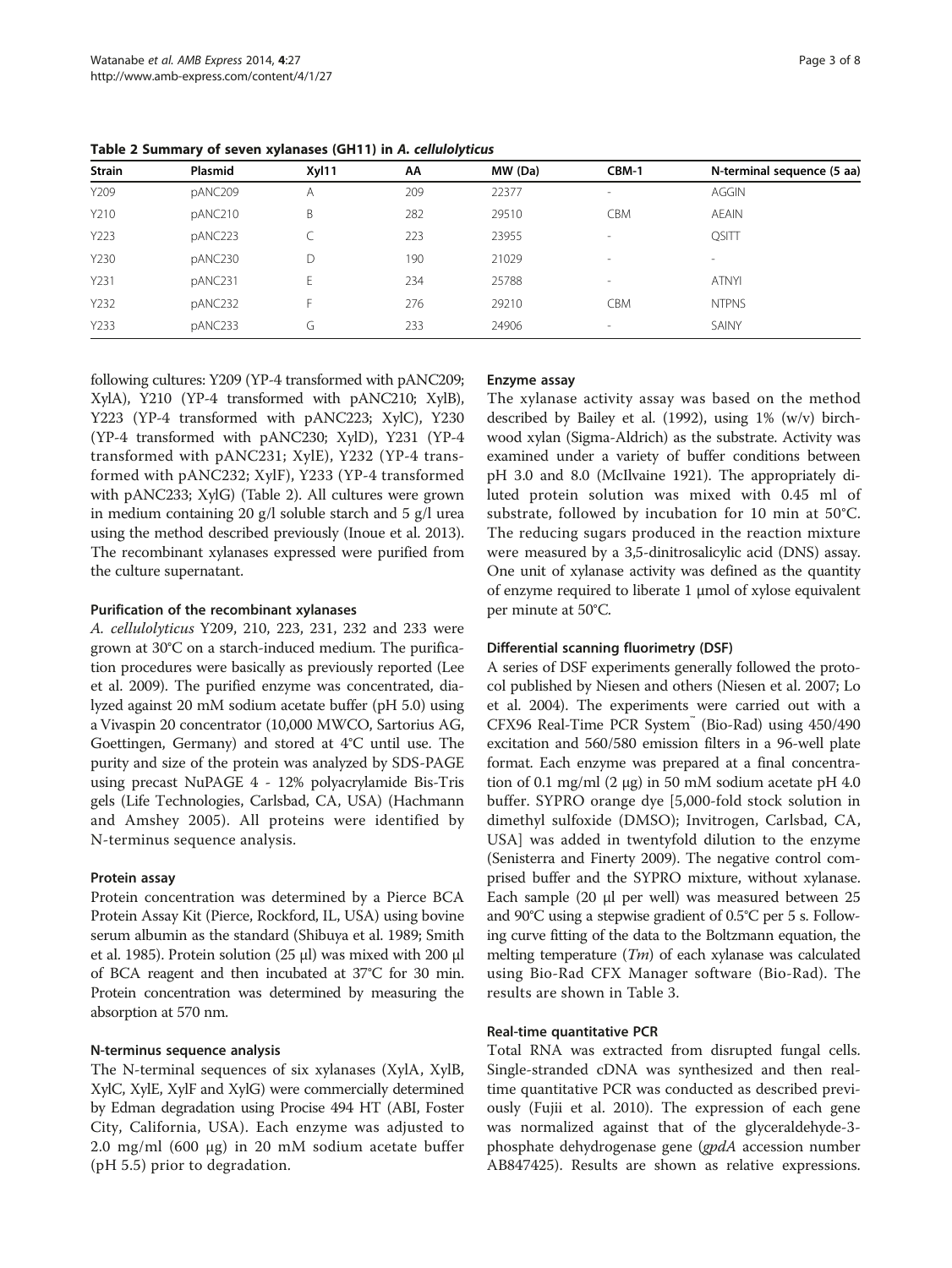| <b>Strain</b> | Plasmid | Xyl11 | АΑ  | MW (Da) | CBM-1      | N-terminal sequence (5 aa) |
|---------------|---------|-------|-----|---------|------------|----------------------------|
| Y209          | pANC209 | Α     | 209 | 22377   | $\sim$     | <b>AGGIN</b>               |
| Y210          | pANC210 | B     | 282 | 29510   | <b>CBM</b> | <b>AEAIN</b>               |
| Y223          | pANC223 |       | 223 | 23955   | $\sim$     | <b>QSITT</b>               |
| Y230          | pANC230 | D     | 190 | 21029   | $\sim$     | $\sim$                     |
| Y231          | pANC231 | E     | 234 | 25788   | $\sim$     | <b>ATNYI</b>               |
| Y232          | pANC232 | E     | 276 | 29210   | <b>CBM</b> | <b>NTPNS</b>               |
| Y233          | pANC233 | G     | 233 | 24906   | $\sim$     | SAINY                      |

<span id="page-2-0"></span>Table 2 Summary of seven xylanases (GH11) in A. cellulolyticus

following cultures: Y209 (YP-4 transformed with pANC209; XylA), Y210 (YP-4 transformed with pANC210; XylB), Y223 (YP-4 transformed with pANC223; XylC), Y230 (YP-4 transformed with pANC230; XylD), Y231 (YP-4 transformed with pANC231; XylE), Y232 (YP-4 transformed with pANC232; XylF), Y233 (YP-4 transformed with pANC233; XylG) (Table 2). All cultures were grown in medium containing 20 g/l soluble starch and 5 g/l urea using the method described previously (Inoue et al. [2013](#page-7-0)). The recombinant xylanases expressed were purified from the culture supernatant.

#### Purification of the recombinant xylanases

A. cellulolyticus Y209, 210, 223, 231, 232 and 233 were grown at 30°C on a starch-induced medium. The purification procedures were basically as previously reported (Lee et al. [2009](#page-7-0)). The purified enzyme was concentrated, dialyzed against 20 mM sodium acetate buffer (pH 5.0) using a Vivaspin 20 concentrator (10,000 MWCO, Sartorius AG, Goettingen, Germany) and stored at 4°C until use. The purity and size of the protein was analyzed by SDS-PAGE using precast NuPAGE 4 - 12% polyacrylamide Bis-Tris gels (Life Technologies, Carlsbad, CA, USA) (Hachmann and Amshey [2005](#page-7-0)). All proteins were identified by N-terminus sequence analysis.

#### Protein assay

Protein concentration was determined by a Pierce BCA Protein Assay Kit (Pierce, Rockford, IL, USA) using bovine serum albumin as the standard (Shibuya et al. [1989;](#page-7-0) Smith et al. [1985\)](#page-7-0). Protein solution (25 μl) was mixed with 200 μl of BCA reagent and then incubated at 37°C for 30 min. Protein concentration was determined by measuring the absorption at 570 nm.

#### N-terminus sequence analysis

The N-terminal sequences of six xylanases (XylA, XylB, XylC, XylE, XylF and XylG) were commercially determined by Edman degradation using Procise 494 HT (ABI, Foster City, California, USA). Each enzyme was adjusted to 2.0 mg/ml (600 μg) in 20 mM sodium acetate buffer (pH 5.5) prior to degradation.

#### Enzyme assay

The xylanase activity assay was based on the method described by Bailey et al. ([1992](#page-7-0)), using 1% (w/v) birchwood xylan (Sigma-Aldrich) as the substrate. Activity was examined under a variety of buffer conditions between pH 3.0 and 8.0 (McIlvaine [1921](#page-7-0)). The appropriately diluted protein solution was mixed with 0.45 ml of substrate, followed by incubation for 10 min at 50°C. The reducing sugars produced in the reaction mixture were measured by a 3,5-dinitrosalicylic acid (DNS) assay. One unit of xylanase activity was defined as the quantity of enzyme required to liberate 1 μmol of xylose equivalent per minute at 50°C.

#### Differential scanning fluorimetry (DSF)

A series of DSF experiments generally followed the protocol published by Niesen and others (Niesen et al. [2007](#page-7-0); Lo et al. [2004](#page-7-0)). The experiments were carried out with a CFX96 Real-Time PCR System™ (Bio-Rad) using 450/490 excitation and 560/580 emission filters in a 96-well plate format. Each enzyme was prepared at a final concentration of 0.1 mg/ml (2 μg) in 50 mM sodium acetate pH 4.0 buffer. SYPRO orange dye [5,000-fold stock solution in dimethyl sulfoxide (DMSO); Invitrogen, Carlsbad, CA, USA] was added in twentyfold dilution to the enzyme (Senisterra and Finerty [2009](#page-7-0)). The negative control comprised buffer and the SYPRO mixture, without xylanase. Each sample (20 μl per well) was measured between 25 and 90°C using a stepwise gradient of 0.5°C per 5 s. Following curve fitting of the data to the Boltzmann equation, the melting temperature  $(Tm)$  of each xylanase was calculated using Bio-Rad CFX Manager software (Bio-Rad). The results are shown in Table [3](#page-3-0).

### Real-time quantitative PCR

Total RNA was extracted from disrupted fungal cells. Single-stranded cDNA was synthesized and then realtime quantitative PCR was conducted as described previously (Fujii et al. [2010](#page-7-0)). The expression of each gene was normalized against that of the glyceraldehyde-3 phosphate dehydrogenase gene (gpdA accession number AB847425). Results are shown as relative expressions.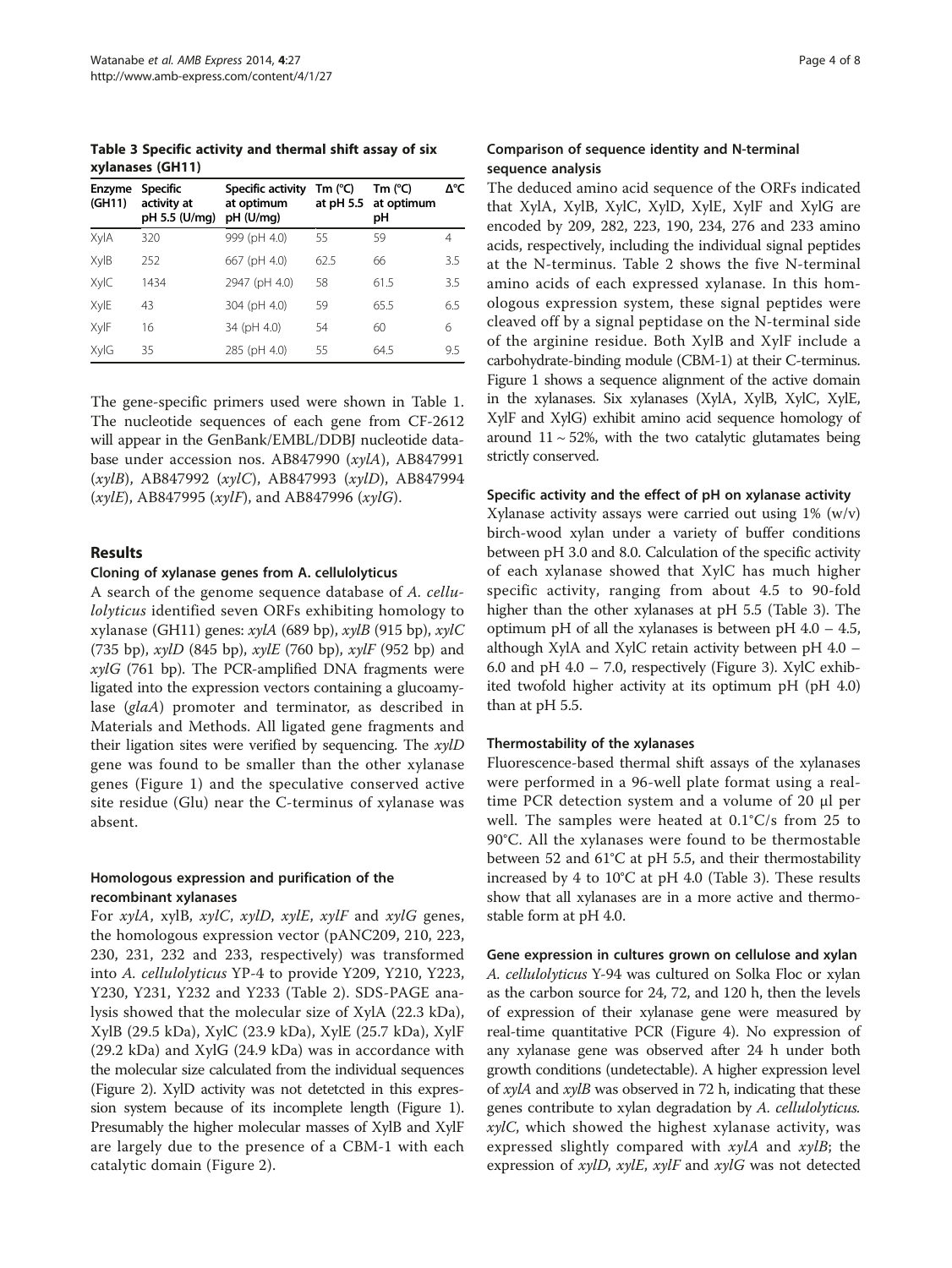<span id="page-3-0"></span>Table 3 Specific activity and thermal shift assay of six xylanases (GH11)

| <b>Enzyme</b><br>(GH11) | <b>Specific</b><br>activity at<br>pH 5.5 (U/mg) | Specific activity<br>at optimum<br>pH (U/mq) | Tm $(^{\circ}C)$ | Tm (°C)<br>at pH 5.5 at optimum<br>рH | Δ°С |
|-------------------------|-------------------------------------------------|----------------------------------------------|------------------|---------------------------------------|-----|
| XylA                    | 320                                             | 999 (pH 4.0)                                 | 55               | 59                                    | 4   |
| XylB                    | 252                                             | 667 (pH 4.0)                                 | 62.5             | 66                                    | 3.5 |
| XylC                    | 1434                                            | 2947 (pH 4.0)                                | 58               | 61.5                                  | 3.5 |
| XylE                    | 43                                              | 304 (pH 4.0)                                 | 59               | 65.5                                  | 6.5 |
| XylF                    | 16                                              | 34 (pH 4.0)                                  | 54               | 60                                    | 6   |
| XylG                    | 35                                              | 285 (pH 4.0)                                 | 55               | 64.5                                  | 9.5 |

The gene-specific primers used were shown in Table [1](#page-1-0). The nucleotide sequences of each gene from CF-2612 will appear in the GenBank/EMBL/DDBJ nucleotide database under accession nos. AB847990 (xylA), AB847991 (xylB), AB847992 (xylC), AB847993 (xylD), AB847994  $(xylE)$ , AB847995  $(xylF)$ , and AB847996  $(xylG)$ .

#### Results

#### Cloning of xylanase genes from A. cellulolyticus

A search of the genome sequence database of A. cellulolyticus identified seven ORFs exhibiting homology to xylanase (GH11) genes:  $xylA$  (689 bp),  $xylB$  (915 bp),  $xylC$ (735 bp),  $xy$ lD (845 bp),  $xy$ lE (760 bp),  $xy$ lF (952 bp) and  $xylG$  (761 bp). The PCR-amplified DNA fragments were ligated into the expression vectors containing a glucoamylase (glaA) promoter and terminator, as described in Materials and Methods. All ligated gene fragments and their ligation sites were verified by sequencing. The  $xyID$ gene was found to be smaller than the other xylanase genes (Figure [1\)](#page-4-0) and the speculative conserved active site residue (Glu) near the C-terminus of xylanase was absent.

### Homologous expression and purification of the recombinant xylanases

For xylA, xylB, xylC, xylD, xylE, xylF and xylG genes, the homologous expression vector (pANC209, 210, 223, 230, 231, 232 and 233, respectively) was transformed into A. cellulolyticus YP-4 to provide Y209, Y210, Y223, Y230, Y231, Y232 and Y233 (Table [2](#page-2-0)). SDS-PAGE analysis showed that the molecular size of XylA (22.3 kDa), XylB (29.5 kDa), XylC (23.9 kDa), XylE (25.7 kDa), XylF (29.2 kDa) and XylG (24.9 kDa) was in accordance with the molecular size calculated from the individual sequences (Figure [2\)](#page-5-0). XylD activity was not detetcted in this expression system because of its incomplete length (Figure [1](#page-4-0)). Presumably the higher molecular masses of XylB and XylF are largely due to the presence of a CBM-1 with each catalytic domain (Figure [2](#page-5-0)).

#### Comparison of sequence identity and N-terminal sequence analysis

The deduced amino acid sequence of the ORFs indicated that XylA, XylB, XylC, XylD, XylE, XylF and XylG are encoded by 209, 282, 223, 190, 234, 276 and 233 amino acids, respectively, including the individual signal peptides at the N-terminus. Table [2](#page-2-0) shows the five N-terminal amino acids of each expressed xylanase. In this homologous expression system, these signal peptides were cleaved off by a signal peptidase on the N-terminal side of the arginine residue. Both XylB and XylF include a carbohydrate-binding module (CBM-1) at their C-terminus. Figure [1](#page-4-0) shows a sequence alignment of the active domain in the xylanases. Six xylanases (XylA, XylB, XylC, XylE, XylF and XylG) exhibit amino acid sequence homology of around  $11 \sim 52\%$ , with the two catalytic glutamates being strictly conserved.

#### Specific activity and the effect of pH on xylanase activity

Xylanase activity assays were carried out using 1% (w/v) birch-wood xylan under a variety of buffer conditions between pH 3.0 and 8.0. Calculation of the specific activity of each xylanase showed that XylC has much higher specific activity, ranging from about 4.5 to 90-fold higher than the other xylanases at pH 5.5 (Table 3). The optimum pH of all the xylanases is between pH  $4.0 - 4.5$ , although XylA and XylC retain activity between pH 4.0 – 6.0 and pH  $4.0 - 7.0$ , respectively (Figure [3](#page-5-0)). XylC exhibited twofold higher activity at its optimum pH (pH 4.0) than at pH 5.5.

#### Thermostability of the xylanases

Fluorescence-based thermal shift assays of the xylanases were performed in a 96-well plate format using a realtime PCR detection system and a volume of 20 μl per well. The samples were heated at 0.1°C/s from 25 to 90°C. All the xylanases were found to be thermostable between 52 and 61°C at pH 5.5, and their thermostability increased by 4 to 10°C at pH 4.0 (Table 3). These results show that all xylanases are in a more active and thermostable form at pH 4.0.

Gene expression in cultures grown on cellulose and xylan A. cellulolyticus Y-94 was cultured on Solka Floc or xylan as the carbon source for 24, 72, and 120 h, then the levels of expression of their xylanase gene were measured by real-time quantitative PCR (Figure [4](#page-6-0)). No expression of any xylanase gene was observed after 24 h under both growth conditions (undetectable). A higher expression level of xylA and xylB was observed in 72 h, indicating that these genes contribute to xylan degradation by A. cellulolyticus.  $xylC$ , which showed the highest xylanase activity, was expressed slightly compared with  $xy/A$  and  $xy/B$ ; the expression of xylD, xylE, xylF and xylG was not detected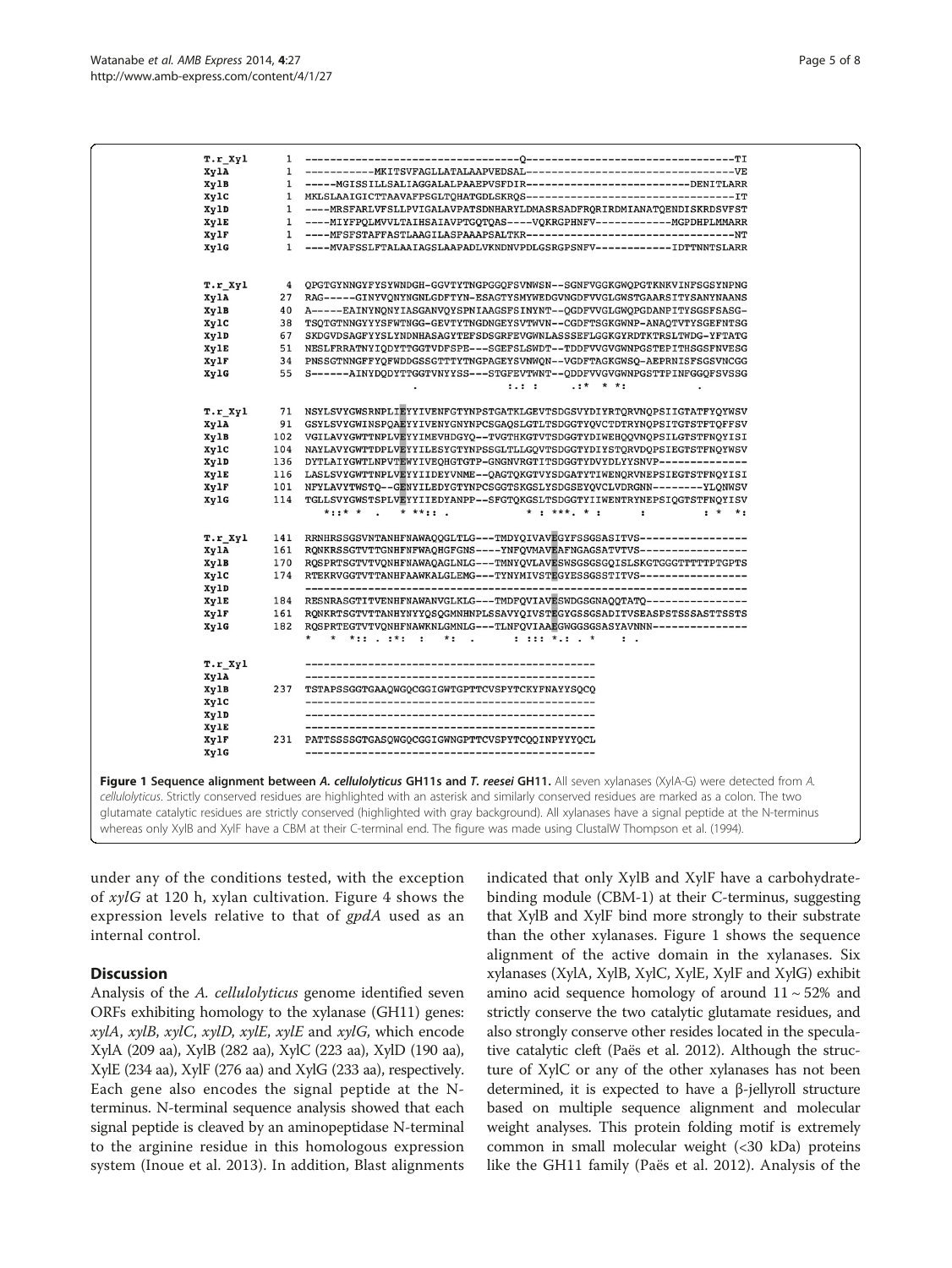<span id="page-4-0"></span>

|                                                                                                                                              | $r.r_$ $xyl$ | $\mathbf{1}$ |                                                                                                                                               |  |  |
|----------------------------------------------------------------------------------------------------------------------------------------------|--------------|--------------|-----------------------------------------------------------------------------------------------------------------------------------------------|--|--|
|                                                                                                                                              | XylA         | 1            |                                                                                                                                               |  |  |
|                                                                                                                                              | XylB         | 1            | -----MGISSILLSALIAGGALALPAAEPVSFDIR--------------------------DENITLARR                                                                        |  |  |
|                                                                                                                                              | xylc         | 1            |                                                                                                                                               |  |  |
|                                                                                                                                              | XylD         | 1            | ----MRSFARLVFSLLPVIGALAVPATSDNHARYLDMASRSADFRQRIRDMIANATQENDISKRDSVFST                                                                        |  |  |
|                                                                                                                                              | XylE         | 1            | ----MIYFPQLMVVLTAIHSAIAVPTGQTQAS----VQKRGPHNFV------------MGPDHPLMMARR                                                                        |  |  |
|                                                                                                                                              | XylF         | 1            | ----MFSFSTAFFASTLAAGILASPAAAPSALTKR---------------------------------NT                                                                        |  |  |
|                                                                                                                                              | XylG         | 1            | ----MVAFSSLFTALAAIAGSLAAPADLVKNDNVPDLGSRGPSNFV------------IDTTNNTSLARR                                                                        |  |  |
|                                                                                                                                              |              |              |                                                                                                                                               |  |  |
|                                                                                                                                              |              |              |                                                                                                                                               |  |  |
|                                                                                                                                              | T.r Xyl      | 4            | QPGTGYNNGYFYSYWNDGH-GGVTYTNGPGGQFSVNWSN--SGNFVGGKGWQPGTKNKVINFSGSYNPNG                                                                        |  |  |
|                                                                                                                                              | XylA         | 27           | RAG-----GINYVQNYNGNLGDFTYN-ESAGTYSMYWEDGVNGDFVVGLGWSTGAARSITYSANYNAANS                                                                        |  |  |
|                                                                                                                                              | XylB         | 40           | A-----EAINYNQNYIASGANVQYSPNIAAGSFSINYNT--QGDFVVGLGWQPGDANPITYSGSFSASG-                                                                        |  |  |
|                                                                                                                                              | XylC         | 38           | TSQTGTNNGYYYSFWTNGG-GEVTYTNGDNGEYSVTWVN--CGDFTSGKGWNP-ANAQTVTYSGEFNTSG                                                                        |  |  |
|                                                                                                                                              | XylD         | 67           | SKDGVDSAGFYYSLYNDNHASAGYTEFSDSGRFEVGWNLASSSEFLGGKGYRDTKTRSLTWDG-YFTATG                                                                        |  |  |
|                                                                                                                                              | XylE         | 51           | NESLFRRATNYIQDYTTGGTVDFSPE---SGEFSLSWDT--TDDFVVGVGWNPGSTEPITHSGSFNVESG                                                                        |  |  |
|                                                                                                                                              | XylF         | 34           | PNSSGTNNGFFYQFWDDGSSGTTTYTNGPAGEYSVNWQN--VGDFTAGKGWSQ-AEPRNISFSGSVNCGG                                                                        |  |  |
|                                                                                                                                              | XylG         | 55           | S------AINYDQDYTTGGTVNYYSS---STGFEVTWNT--QDDFVVGVGWNPGSTTPINFGGQFSVSSG                                                                        |  |  |
|                                                                                                                                              |              |              | $\cdot$ :*<br>$\star$ $\star$ :<br>1.1.1                                                                                                      |  |  |
|                                                                                                                                              |              |              |                                                                                                                                               |  |  |
|                                                                                                                                              | T.r Xyl      | 71           | NSYLSVYGWSRNPLIEYYIVENFGTYNPSTGATKLGEVTSDGSVYDIYRTQRVNQPSIIGTATFYQYWSV                                                                        |  |  |
|                                                                                                                                              | XylA         | 91           | GSYLSVYGWINSPOAEYYIVENYGNYNPCSGAOSLGTLTSDGGTYQVCTDTRYNOPSITGTSTFTQFFSV                                                                        |  |  |
|                                                                                                                                              | XylB         | 102          | VGILAVYGWTTNPLVEYYIMEVHDGYQ--TVGTHKGTVTSDGGTYDIWEHQQVNQPSILGTSTFNQYISI                                                                        |  |  |
|                                                                                                                                              | XylC         | 104          | NAYLAVYGWTTDPLVEYYILESYGTYNPSSGLTLLGQVTSDGGTYDIYSTQRVDQPSIEGTSTFNQYWSV                                                                        |  |  |
|                                                                                                                                              | XylD         | 136          | DYTLAIYGWTLNPVTEWYIVEQHGTGTP-GNGNVRGTITSDGGTYDVYDLYYSNVP--------------                                                                        |  |  |
|                                                                                                                                              | XylE         | 116          | LASLSVYGWTTNPLVEYYIIDEYVNME--QAGTQKGTVYSDGATYTIWENQRVNEPSIEGTSTFNQYISI                                                                        |  |  |
|                                                                                                                                              | XylF         | 101          | NFYLAVYTWSTQ--GENYILEDYGTYNPCSGGTSKGSLYSDGSEYQVCLVDRGNN--------YLQNWSV                                                                        |  |  |
|                                                                                                                                              | XylG         | 114          | TGLLSVYGWSTSPLVEYYIIEDYANPP--SFGTQKGSLTSDGGTYIIWENTRYNEPSIQGTSTFNQYISV                                                                        |  |  |
|                                                                                                                                              |              |              | $* : : * * *$<br>$* * * : :$<br>$*$ : ***. * :<br>$\ddot{\phantom{0}}$<br>$\cdot$<br>$: * * :$                                                |  |  |
|                                                                                                                                              |              |              |                                                                                                                                               |  |  |
|                                                                                                                                              | T.r Xyl      | 141          | RRNHRSSGSVNTANHFNAWAQQGLTLG---TMDYQIVAVEGYFSSGSASITVS-----------------                                                                        |  |  |
|                                                                                                                                              | XylA         | 161          | RQNKRSSGTVTTGNHFNFWAQHGFGNS----YNFQVMAVEAFNGAGSATVTVS-----------------                                                                        |  |  |
|                                                                                                                                              | XylB         | 170          | RQSPRTSGTVTVQNHFNAWAQAGLNLG---TMNYQVLAVESWSGSGSGQISLSKGTGGGTTTTTPTGPTS                                                                        |  |  |
|                                                                                                                                              | XylC         | 174          | RTEKRVGGTVTTANHFAAWKALGLEMG---TYNYMIVSTEGYESSGSSTITVS----------------                                                                         |  |  |
|                                                                                                                                              | XylD         |              |                                                                                                                                               |  |  |
|                                                                                                                                              | XylE         | 184          | RESNRASGTITVENHFNAWANVGLKLG---TMDFQVIAVESWDGSGNAQQTATQ----------------                                                                        |  |  |
|                                                                                                                                              | XylF         | 161          | RONKRTSGTVTTANHYNYYOSOGMNHNPLSSAVYOIVSTEGYGSSGSADITVSEASPSTSSSASTTSSTS                                                                        |  |  |
|                                                                                                                                              | XylG         | 182          | ROSPRTEGTVTVONHFNAWKNLGMNLG---TLNFQVIAAEGWGGSGSASYAVNNN---------------                                                                        |  |  |
|                                                                                                                                              |              |              | $1 111 * 1 1 *$<br>* *:: . :*: :<br>$*$ : .<br>$\cdot$ .                                                                                      |  |  |
|                                                                                                                                              |              |              |                                                                                                                                               |  |  |
|                                                                                                                                              | T.r Xyl      |              |                                                                                                                                               |  |  |
|                                                                                                                                              | XylA         |              |                                                                                                                                               |  |  |
|                                                                                                                                              | XylB         | 237          | TSTAPSSGGTGAAOWGOCGGIGWTGPTTCVSPYTCKYFNAYYSOCO                                                                                                |  |  |
|                                                                                                                                              | XylC         |              |                                                                                                                                               |  |  |
|                                                                                                                                              | XylD         |              |                                                                                                                                               |  |  |
|                                                                                                                                              | XylE         |              | -----------------------------------                                                                                                           |  |  |
|                                                                                                                                              | XylF         | 231          | PATTSSSSGTGASQWGQCGGIGWNGPTTCVSPYTCQQINPYYYQCL                                                                                                |  |  |
|                                                                                                                                              | XylG         |              |                                                                                                                                               |  |  |
|                                                                                                                                              |              |              |                                                                                                                                               |  |  |
|                                                                                                                                              |              |              | Figure 1 Sequence alignment between A. cellulolyticus GH11s and T. reesei GH11. All seven xylanases (XylA-G) were detected from A.            |  |  |
| cellulolyticus. Strictly conserved residues are highlighted with an asterisk and similarly conserved residues are marked as a colon. The two |              |              |                                                                                                                                               |  |  |
|                                                                                                                                              |              |              |                                                                                                                                               |  |  |
|                                                                                                                                              |              |              | glutamate catalytic residues are strictly conserved (highlighted with gray background). All xylanases have a signal peptide at the N-terminus |  |  |
|                                                                                                                                              |              |              | whereas only XylB and XylF have a CBM at their C-terminal end. The figure was made using ClustalW Thompson et al. (1994).                     |  |  |
|                                                                                                                                              |              |              |                                                                                                                                               |  |  |

under any of the conditions tested, with the exception of xylG at 120 h, xylan cultivation. Figure [4](#page-6-0) shows the expression levels relative to that of gpdA used as an internal control.

# **Discussion**

Analysis of the A. cellulolyticus genome identified seven ORFs exhibiting homology to the xylanase (GH11) genes: xylA, xylB, xylC, xylD, xylE, xylE and xylG, which encode XylA (209 aa), XylB (282 aa), XylC (223 aa), XylD (190 aa), XylE (234 aa), XylF (276 aa) and XylG (233 aa), respectively. Each gene also encodes the signal peptide at the Nterminus. N-terminal sequence analysis showed that each signal peptide is cleaved by an aminopeptidase N-terminal to the arginine residue in this homologous expression system (Inoue et al. [2013\)](#page-7-0). In addition, Blast alignments indicated that only XylB and XylF have a carbohydratebinding module (CBM-1) at their C-terminus, suggesting that XylB and XylF bind more strongly to their substrate than the other xylanases. Figure 1 shows the sequence alignment of the active domain in the xylanases. Six xylanases (XylA, XylB, XylC, XylE, XylF and XylG) exhibit amino acid sequence homology of around  $11 \sim 52\%$  and strictly conserve the two catalytic glutamate residues, and also strongly conserve other resides located in the speculative catalytic cleft (Paës et al. [2012](#page-7-0)). Although the structure of XylC or any of the other xylanases has not been determined, it is expected to have a β-jellyroll structure based on multiple sequence alignment and molecular weight analyses. This protein folding motif is extremely common in small molecular weight (<30 kDa) proteins like the GH11 family (Paës et al. [2012\)](#page-7-0). Analysis of the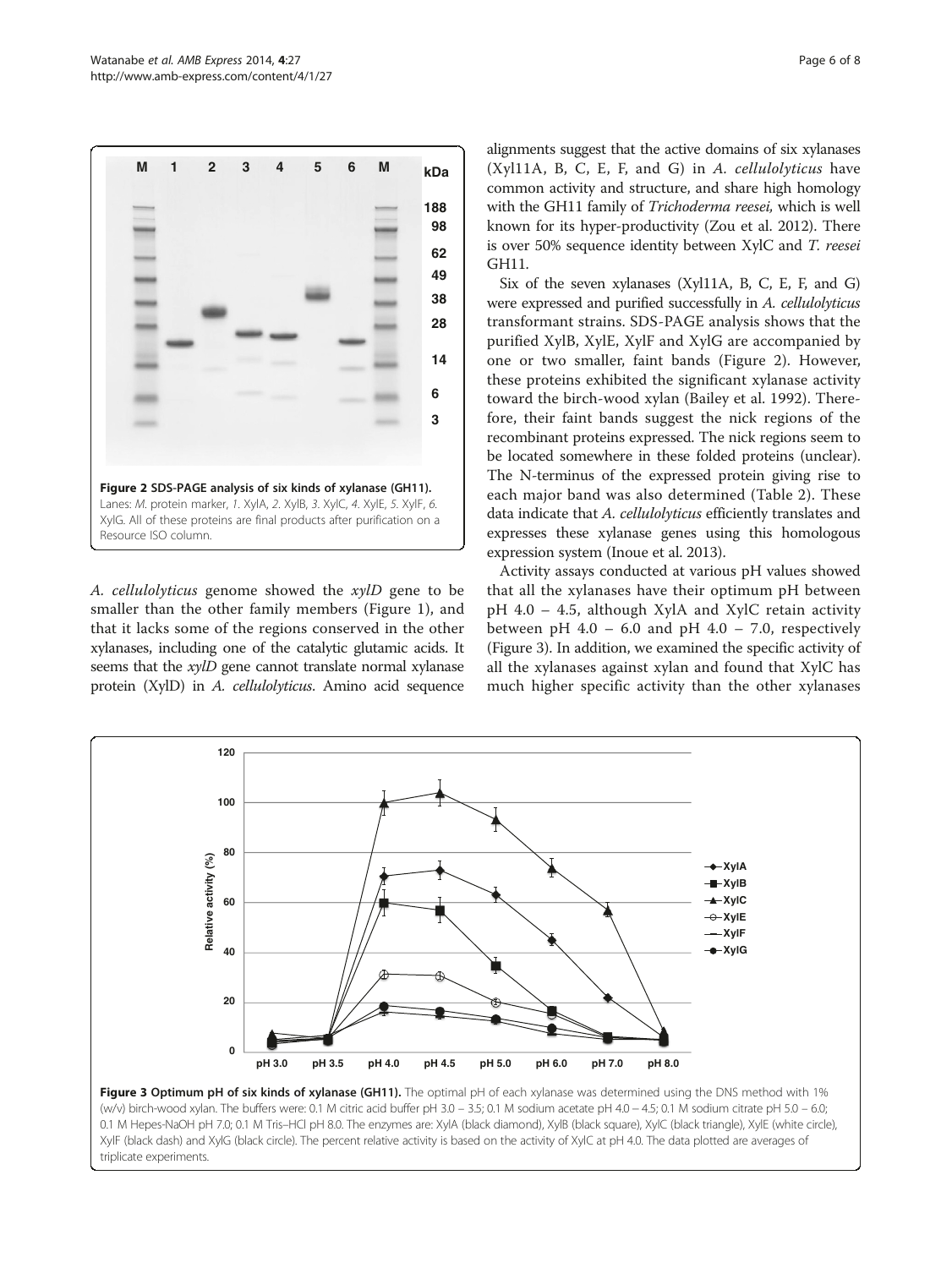<span id="page-5-0"></span>

A. cellulolyticus genome showed the xylD gene to be smaller than the other family members (Figure [1](#page-4-0)), and that it lacks some of the regions conserved in the other xylanases, including one of the catalytic glutamic acids. It seems that the *xylD* gene cannot translate normal xylanase protein (XylD) in A. cellulolyticus. Amino acid sequence

alignments suggest that the active domains of six xylanases (Xyl11A, B, C, E, F, and G) in A. cellulolyticus have common activity and structure, and share high homology with the GH11 family of Trichoderma reesei, which is well known for its hyper-productivity (Zou et al. [2012](#page-7-0)). There is over 50% sequence identity between XylC and T. reesei GH11.

Six of the seven xylanases (Xyl11A, B, C, E, F, and G) were expressed and purified successfully in A. cellulolyticus transformant strains. SDS-PAGE analysis shows that the purified XylB, XylE, XylF and XylG are accompanied by one or two smaller, faint bands (Figure 2). However, these proteins exhibited the significant xylanase activity toward the birch-wood xylan (Bailey et al. [1992](#page-7-0)). Therefore, their faint bands suggest the nick regions of the recombinant proteins expressed. The nick regions seem to be located somewhere in these folded proteins (unclear). The N-terminus of the expressed protein giving rise to each major band was also determined (Table [2\)](#page-2-0). These data indicate that A. cellulolyticus efficiently translates and expresses these xylanase genes using this homologous expression system (Inoue et al. [2013](#page-7-0)).

Activity assays conducted at various pH values showed that all the xylanases have their optimum pH between pH 4.0 – 4.5, although XylA and XylC retain activity between pH  $4.0 - 6.0$  and pH  $4.0 - 7.0$ , respectively (Figure 3). In addition, we examined the specific activity of all the xylanases against xylan and found that XylC has much higher specific activity than the other xylanases



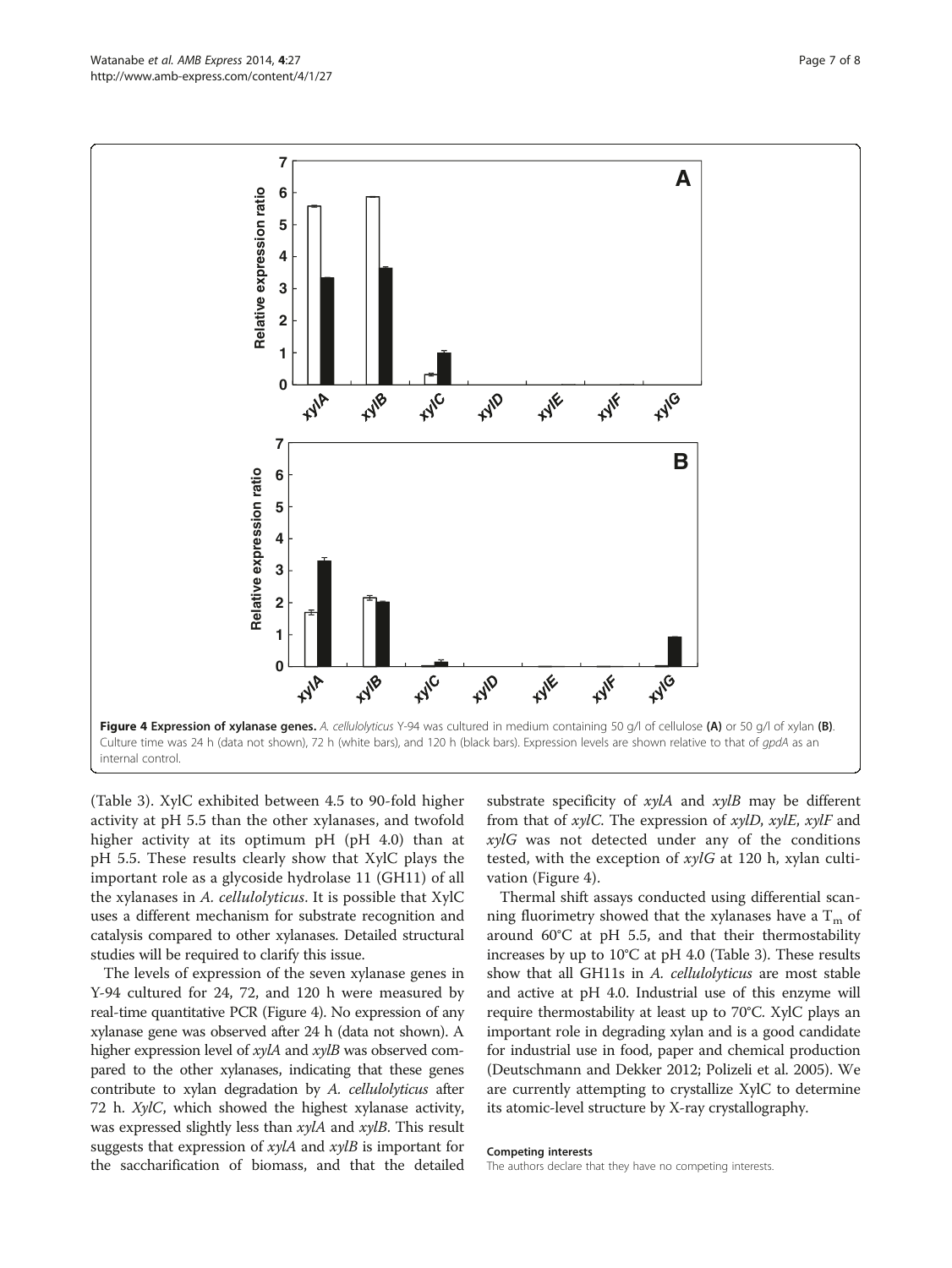(Table [3\)](#page-3-0). XylC exhibited between 4.5 to 90-fold higher activity at pH 5.5 than the other xylanases, and twofold higher activity at its optimum pH (pH 4.0) than at pH 5.5. These results clearly show that XylC plays the important role as a glycoside hydrolase 11 (GH11) of all the xylanases in A. cellulolyticus. It is possible that XylC uses a different mechanism for substrate recognition and catalysis compared to other xylanases. Detailed structural studies will be required to clarify this issue.

The levels of expression of the seven xylanase genes in Y-94 cultured for 24, 72, and 120 h were measured by real-time quantitative PCR (Figure 4). No expression of any xylanase gene was observed after 24 h (data not shown). A higher expression level of xylA and xylB was observed compared to the other xylanases, indicating that these genes contribute to xylan degradation by A. cellulolyticus after 72 h. XylC, which showed the highest xylanase activity, was expressed slightly less than  $xylA$  and  $xylB$ . This result suggests that expression of  $xy/A$  and  $xy/B$  is important for the saccharification of biomass, and that the detailed

substrate specificity of  $xylA$  and  $xylB$  may be different from that of  $xylC$ . The expression of  $xylD$ ,  $xylE$ ,  $xylF$  and xylG was not detected under any of the conditions tested, with the exception of  $xy \mid G$  at 120 h, xylan cultivation (Figure 4).

Thermal shift assays conducted using differential scanning fluorimetry showed that the xylanases have a  $T_m$  of around 60°C at pH 5.5, and that their thermostability increases by up to 10°C at pH 4.0 (Table [3](#page-3-0)). These results show that all GH11s in A. cellulolyticus are most stable and active at pH 4.0. Industrial use of this enzyme will require thermostability at least up to 70°C. XylC plays an important role in degrading xylan and is a good candidate for industrial use in food, paper and chemical production (Deutschmann and Dekker [2012;](#page-7-0) Polizeli et al. [2005\)](#page-7-0). We are currently attempting to crystallize XylC to determine its atomic-level structure by X-ray crystallography.

#### Competing interests

The authors declare that they have no competing interests.

<span id="page-6-0"></span>